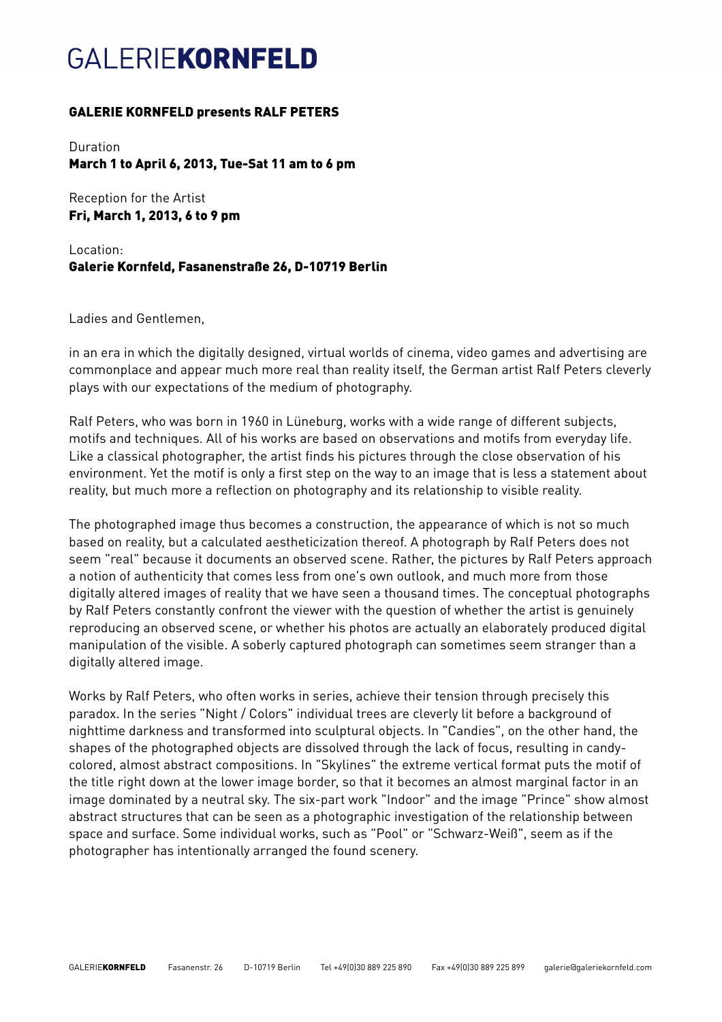# **GAI FRIFKORNFELD**

### GALERIE KORNFELD presents RALF PETERS

Duration March 1 to April 6, 2013, Tue-Sat 11 am to 6 pm

Reception for the Artist Fri, March 1, 2013, 6 to 9 pm

Location: Galerie Kornfeld, Fasanenstraße 26, D-10719 Berlin

Ladies and Gentlemen,

in an era in which the digitally designed, virtual worlds of cinema, video games and advertising are commonplace and appear much more real than reality itself, the German artist Ralf Peters cleverly plays with our expectations of the medium of photography.

Ralf Peters, who was born in 1960 in Lüneburg, works with a wide range of different subjects, motifs and techniques. All of his works are based on observations and motifs from everyday life. Like a classical photographer, the artist finds his pictures through the close observation of his environment. Yet the motif is only a first step on the way to an image that is less a statement about reality, but much more a reflection on photography and its relationship to visible reality.

The photographed image thus becomes a construction, the appearance of which is not so much based on reality, but a calculated aestheticization thereof. A photograph by Ralf Peters does not seem "real" because it documents an observed scene. Rather, the pictures by Ralf Peters approach a notion of authenticity that comes less from one's own outlook, and much more from those digitally altered images of reality that we have seen a thousand times. The conceptual photographs by Ralf Peters constantly confront the viewer with the question of whether the artist is genuinely reproducing an observed scene, or whether his photos are actually an elaborately produced digital manipulation of the visible. A soberly captured photograph can sometimes seem stranger than a digitally altered image.

Works by Ralf Peters, who often works in series, achieve their tension through precisely this paradox. In the series "Night / Colors" individual trees are cleverly lit before a background of nighttime darkness and transformed into sculptural objects. In "Candies", on the other hand, the shapes of the photographed objects are dissolved through the lack of focus, resulting in candycolored, almost abstract compositions. In "Skylines" the extreme vertical format puts the motif of the title right down at the lower image border, so that it becomes an almost marginal factor in an image dominated by a neutral sky. The six-part work "Indoor" and the image "Prince" show almost abstract structures that can be seen as a photographic investigation of the relationship between space and surface. Some individual works, such as "Pool" or "Schwarz-Weiß", seem as if the photographer has intentionally arranged the found scenery.